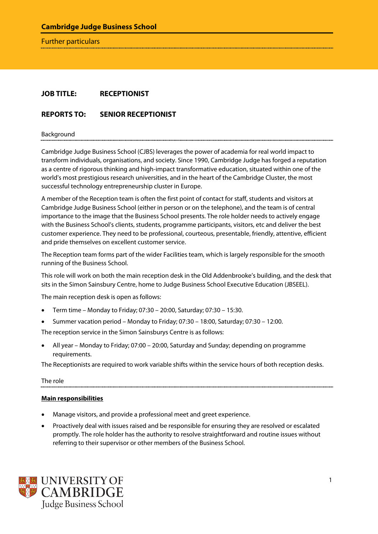Further particulars

# **JOB TITLE: RECEPTIONIST**

## **REPORTS TO: SENIOR RECEPTIONIST**

Background

Cambridge Judge Business School (CJBS) leverages the power of academia for real world impact to transform individuals, organisations, and society. Since 1990, Cambridge Judge has forged a reputation as a centre of rigorous thinking and high-impact transformative education, situated within one of the world's most prestigious research universities, and in the heart of the Cambridge Cluster, the most successful technology entrepreneurship cluster in Europe.

A member of the Reception team is often the first point of contact for staff, students and visitors at Cambridge Judge Business School (either in person or on the telephone), and the team is of central importance to the image that the Business School presents. The role holder needs to actively engage with the Business School's clients, students, programme participants, visitors, etc and deliver the best customer experience. They need to be professional, courteous, presentable, friendly, attentive, efficient and pride themselves on excellent customer service.

The Reception team forms part of the wider Facilities team, which is largely responsible for the smooth running of the Business School.

This role will work on both the main reception desk in the Old Addenbrooke's building, and the desk that sits in the Simon Sainsbury Centre, home to Judge Business School Executive Education (JBSEEL).

The main reception desk is open as follows:

- Term time Monday to Friday; 07:30 20:00, Saturday; 07:30 15:30.
- Summer vacation period Monday to Friday; 07:30 18:00, Saturday; 07:30 12:00.

The reception service in the Simon Sainsburys Centre is as follows:

• All year – Monday to Friday; 07:00 – 20:00, Saturday and Sunday; depending on programme requirements.

The Receptionists are required to work variable shifts within the service hours of both reception desks.

The role

#### **Main responsibilities**

- Manage visitors, and provide a professional meet and greet experience.
- Proactively deal with issues raised and be responsible for ensuring they are resolved or escalated promptly. The role holder has the authority to resolve straightforward and routine issues without referring to their supervisor or other members of the Business School.

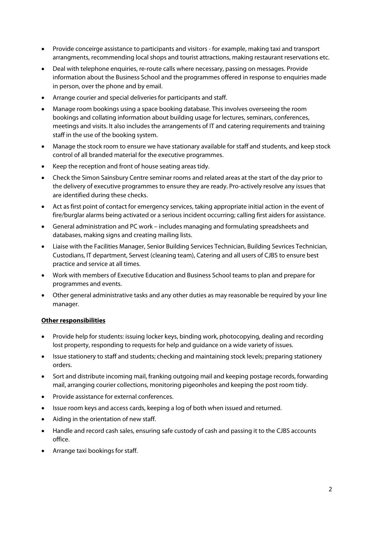- Provide conceirge assistance to participants and visitors for example, making taxi and transport arrangments, recommending local shops and tourist attractions, making restaurant reservations etc.
- Deal with telephone enquiries, re-route calls where necessary, passing on messages. Provide information about the Business School and the programmes offered in response to enquiries made in person, over the phone and by email.
- Arrange courier and special deliveries for participants and staff.
- Manage room bookings using a space booking database. This involves overseeing the room bookings and collating information about building usage for lectures, seminars, conferences, meetings and visits. It also includes the arrangements of IT and catering requirements and training staff in the use of the booking system.
- Manage the stock room to ensure we have stationary available for staff and students, and keep stock control of all branded material for the executive programmes.
- Keep the reception and front of house seating areas tidy.
- Check the Simon Sainsbury Centre seminar rooms and related areas at the start of the day prior to the delivery of executive programmes to ensure they are ready. Pro-actively resolve any issues that are identified during these checks.
- Act as first point of contact for emergency services, taking appropriate initial action in the event of fire/burglar alarms being activated or a serious incident occurring; calling first aiders for assistance.
- General administration and PC work includes managing and formulating spreadsheets and databases, making signs and creating mailing lists.
- Liaise with the Facilities Manager, Senior Building Services Technician, Building Sevrices Technician, Custodians, IT department, Servest (cleaning team), Catering and all users of CJBS to ensure best practice and service at all times.
- Work with members of Executive Education and Business School teams to plan and prepare for programmes and events.
- Other general administrative tasks and any other duties as may reasonable be required by your line manager.

#### **Other responsibilities**

- Provide help for students: issuing locker keys, binding work, photocopying, dealing and recording lost property, responding to requests for help and guidance on a wide variety of issues.
- Issue stationery to staff and students; checking and maintaining stock levels; preparing stationery orders.
- Sort and distribute incoming mail, franking outgoing mail and keeping postage records, forwarding mail, arranging courier collections, monitoring pigeonholes and keeping the post room tidy.
- Provide assistance for external conferences.
- Issue room keys and access cards, keeping a log of both when issued and returned.
- Aiding in the orientation of new staff.
- Handle and record cash sales, ensuring safe custody of cash and passing it to the CJBS accounts office.
- Arrange taxi bookings for staff.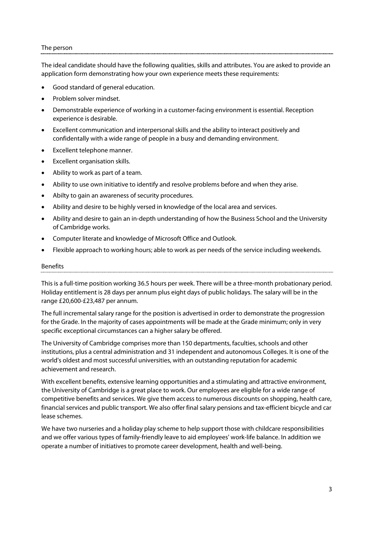#### The person

The ideal candidate should have the following qualities, skills and attributes. You are asked to provide an application form demonstrating how your own experience meets these requirements:

- Good standard of general education.
- Problem solver mindset.
- Demonstrable experience of working in a customer-facing environment is essential. Reception experience is desirable.
- Excellent communication and interpersonal skills and the ability to interact positively and confidentally with a wide range of people in a busy and demanding environment.
- Excellent telephone manner.
- Excellent organisation skills.
- Ability to work as part of a team.
- Ability to use own initiative to identify and resolve problems before and when they arise.
- Abilty to gain an awareness of security procedures.
- Ability and desire to be highly versed in knowledge of the local area and services.
- Ability and desire to gain an in-depth understanding of how the Business School and the University of Cambridge works.
- Computer literate and knowledge of Microsoft Office and Outlook.
- Flexible approach to working hours; able to work as per needs of the service including weekends.

#### Benefits

This is a full-time position working 36.5 hours per week. There will be a three-month probationary period. Holiday entitlement is 28 days per annum plus eight days of public holidays. The salary will be in the range £20,600-£23,487 per annum.

The full incremental salary range for the position is advertised in order to demonstrate the progression for the Grade. In the majority of cases appointments will be made at the Grade minimum; only in very specific exceptional circumstances can a higher salary be offered.

The University of Cambridge comprises more than 150 departments, faculties, schools and other institutions, plus a central administration and 31 independent and autonomous Colleges. It is one of the world's oldest and most successful universities, with an outstanding reputation for academic achievement and research.

With excellent benefits, extensive learning opportunities and a stimulating and attractive environment, the University of Cambridge is a great place to work. Our employees are eligible for a wide range of competitive benefits and services. We give them access to numerous discounts on shopping, health care, financial services and public transport. We also offer final salary pensions and tax-efficient bicycle and car lease schemes.

We have two nurseries and a holiday play scheme to help support those with childcare responsibilities and we offer various types of family-friendly leave to aid employees' work-life balance. In addition we operate a number of initiatives to promote career development, health and well-being.